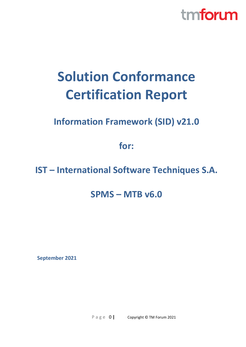

# **Solution Conformance Certification Report**

### **Information Framework (SID) v21.0**

**for:**

### **IST – International Software Techniques S.A.**

### **SPMS – MTB v6.0**

**September 2021**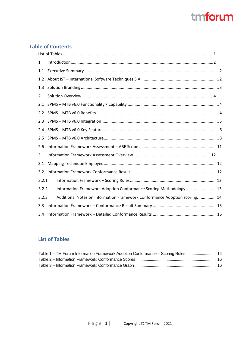### **Table of Contents**

| 1     |                                                                           |  |  |  |  |
|-------|---------------------------------------------------------------------------|--|--|--|--|
| 1.1   |                                                                           |  |  |  |  |
| 1.2   |                                                                           |  |  |  |  |
| 1.3   |                                                                           |  |  |  |  |
| 2     |                                                                           |  |  |  |  |
| 2.1   |                                                                           |  |  |  |  |
| 2.2   |                                                                           |  |  |  |  |
| 2.3   |                                                                           |  |  |  |  |
| 2.4   |                                                                           |  |  |  |  |
| 2.5   |                                                                           |  |  |  |  |
| 2.6   |                                                                           |  |  |  |  |
| 3     |                                                                           |  |  |  |  |
| 3.1   |                                                                           |  |  |  |  |
| 3.2   |                                                                           |  |  |  |  |
| 3.2.1 |                                                                           |  |  |  |  |
| 3.2.2 | Information Framework Adoption Conformance Scoring Methodology 13         |  |  |  |  |
| 3.2.3 | Additional Notes on Information Framework Conformance Adoption scoring:14 |  |  |  |  |
| 3.3   |                                                                           |  |  |  |  |
| 3.4   |                                                                           |  |  |  |  |

### <span id="page-1-0"></span>**List of Tables**

| Table 1 - TM Forum Information Framework Adoption Conformance - Scoring Rules 14 |  |
|----------------------------------------------------------------------------------|--|
|                                                                                  |  |
|                                                                                  |  |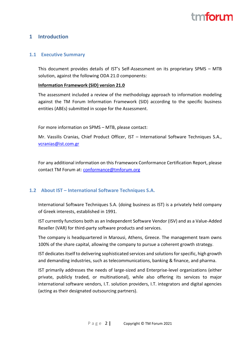# tm**fori m**

#### <span id="page-2-0"></span>**1 Introduction**

#### <span id="page-2-1"></span>**1.1 Executive Summary**

This document provides details of IST's Self-Assessment on its proprietary SPMS – MTB solution, against the following ODA 21.0 components:

#### **Information Framework (SID) version 21.0**

The assessment included a review of the methodology approach to information modeling against the TM Forum Information Framework (SID) according to the specific business entities (ABEs) submitted in scope for the Assessment.

For more information on SPMS – MTB, please contact:

Mr. Vassilis Cranias, Chief Product Officer, IST – International Software Techniques S.A., [vcranias@ist.com.gr](mailto:vcranias@ist.com.gr)

For any additional information on this Frameworx Conformance Certification Report, please contact TM Forum at: [conformance@tmforum.org](mailto:conformance@tmforum.org)

#### <span id="page-2-2"></span>**1.2 About IST – International Software Techniques S.A.**

International Software Techniques S.A. (doing business as IST) is a privately held company of Greek interests, established in 1991.

IST currently functions both as an Independent Software Vendor (ISV) and as a Value-Added Reseller (VAR) for third-party software products and services.

The company is headquartered in Marousi, Athens, Greece. The management team owns 100% of the share capital, allowing the company to pursue a coherent growth strategy.

IST dedicates itself to delivering sophisticated services and solutions for specific, high growth and demanding industries, such as telecommunications, banking & finance, and pharma.

IST primarily addresses the needs of large-sized and Enterprise-level organizations (either private, publicly traded, or multinational), while also offering its services to major international software vendors, I.T. solution providers, I.T. integrators and digital agencies (acting as their designated outsourcing partners).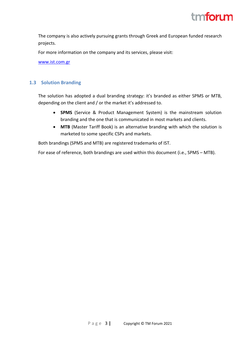

The company is also actively pursuing grants through Greek and European funded research projects.

For more information on the company and its services, please visit:

[www.ist.com.gr](http://www.ist.com.gr/)

#### <span id="page-3-0"></span>**1.3 Solution Branding**

The solution has adopted a dual branding strategy: it's branded as either SPMS or MTB, depending on the client and / or the market it's addressed to.

- **SPMS** (Service & Product Management System) is the mainstream solution branding and the one that is communicated in most markets and clients.
- **MTB** (Master Tariff Book) is an alternative branding with which the solution is marketed to some specific CSPs and markets.

Both brandings (SPMS and MTB) are registered trademarks of IST.

For ease of reference, both brandings are used within this document (i.e., SPMS – MTB).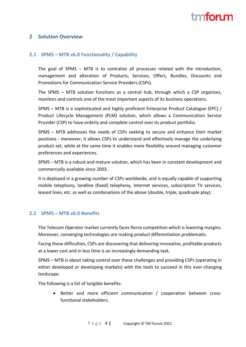# tm**fori m**

#### <span id="page-4-0"></span>**2 Solution Overview**

#### <span id="page-4-1"></span>**2.1 SPMS – MTB v6.0 Functionality / Capability**

The goal of SPMS – MTB is to centralize all processes related with the introduction, management and alteration of Products, Services, Offers, Bundles, Discounts and Promotions for Communication Service Providers (CSPs).

The SPMS – MTB solution functions as a central hub, through which a CSP organizes, monitors and controls one of the most important aspects of its business operations.

SPMS – MTB is a sophisticated and highly proficient Enterprise Product Catalogue (EPC) / Product Lifecycle Management (PLM) solution, which allows a Communication Service Provider (CSP) to have orderly and complete control over its product portfolio.

SPMS – MTB addresses the needs of CSPs seeking to secure and enhance their market positions - moreover, it allows CSPs to understand and effectively manage the underlying product set, while at the same time it enables more flexibility around managing customer preferences and experiences.

SPMS – MTB is a robust and mature solution, which has been in constant development and commercially available since 2003.

It is deployed in a growing number of CSPs worldwide, and is equally capable of supporting mobile telephony, landline (fixed) telephony, Internet services, subscription TV services, leased lines, etc. as well as combinations of the above (double, triple, quadruple play).

#### <span id="page-4-2"></span>**2.2 SPMS – MTB v6.0 Benefits**

The Telecom Operator market currently faces fierce competition which is lowering margins. Moreover, converging technologies are making product differentiation problematic.

Facing these difficulties, CSPs are discovering that delivering innovative, profitable products at a lower cost and in less time is an increasingly demanding task.

SPMS – MTB is about taking control over these challenges and providing CSPs (operating in either developed or developing markets) with the tools to succeed in this ever-changing landscape.

The following is a list of tangible benefits:

• Better and more efficient communication / cooperation between crossfunctional stakeholders.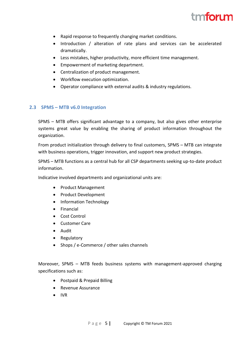

- Rapid response to frequently changing market conditions.
- Introduction / alteration of rate plans and services can be accelerated dramatically.
- Less mistakes, higher productivity, more efficient time management.
- Empowerment of marketing department.
- Centralization of product management.
- Workflow execution optimization.
- Operator compliance with external audits & industry regulations.

#### <span id="page-5-0"></span>**2.3 SPMS – MTB v6.0 Integration**

SPMS – MTB offers significant advantage to a company, but also gives other enterprise systems great value by enabling the sharing of product information throughout the organization.

From product initialization through delivery to final customers, SPMS – MTB can integrate with business operations, trigger innovation, and support new product strategies.

SPMS – MTB functions as a central hub for all CSP departments seeking up-to-date product information.

Indicative involved departments and organizational units are:

- Product Management
- Product Development
- Information Technology
- Financial
- Cost Control
- Customer Care
- Audit
- Regulatory
- Shops / e-Commerce / other sales channels

Moreover, SPMS – MTB feeds business systems with management-approved charging specifications such as:

- Postpaid & Prepaid Billing
- Revenue Assurance
- IVR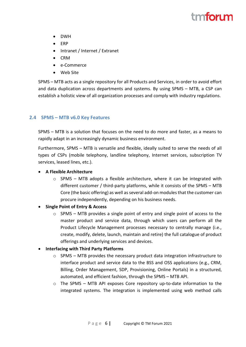# tm**forı m**

- DWH
- ERP
- Intranet / Internet / Extranet
- CRM
- e-Commerce
- Web Site

SPMS – MTB acts as a single repository for all Products and Services, in order to avoid effort and data duplication across departments and systems. By using SPMS – MTB, a CSP can establish a holistic view of all organization processes and comply with industry regulations.

#### <span id="page-6-0"></span>**2.4 SPMS – MTB v6.0 Key Features**

SPMS – MTB is a solution that focuses on the need to do more and faster, as a means to rapidly adapt in an increasingly dynamic business environment.

Furthermore, SPMS – MTB is versatile and flexible, ideally suited to serve the needs of all types of CSPs (mobile telephony, landline telephony, Internet services, subscription TV services, leased lines, etc.).

#### • **A Flexible Architecture**

- $\circ$  SPMS MTB adopts a flexible architecture, where it can be integrated with different customer / third-party platforms, while it consists of the SPMS – MTB Core (the basic offering) as well as several add-on modules that the customer can procure independently, depending on his business needs.
- **Single Point of Entry & Access**
	- $\circ$  SPMS MTB provides a single point of entry and single point of access to the master product and service data, through which users can perform all the Product Lifecycle Management processes necessary to centrally manage (i.e., create, modify, delete, launch, maintain and retire) the full catalogue of product offerings and underlying services and devices.
- **Interfacing with Third Party Platforms**
	- o SPMS MTB provides the necessary product data integration infrastructure to interface product and service data to the BSS and OSS applications (e.g., CRM, Billing, Order Management, SDP, Provisioning, Online Portals) in a structured, automated, and efficient fashion, through the SPMS – MTB API.
	- o The SPMS MTB API exposes Core repository up-to-date information to the integrated systems. The integration is implemented using web method calls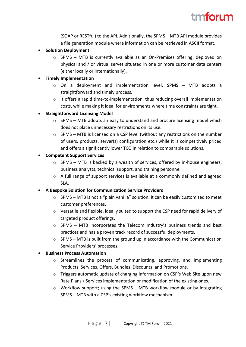

(SOAP or RESTful) to the API. Additionally, the SPMS – MTB API module provides a file generation module where information can be retrieved in ASCII format.

- **Solution Deployment**
	- $\circ$  SPMS MTB is currently available as an On-Premises offering, deployed on physical and / or virtual serves situated in one or more customer data centers (either locally or internationally).

#### • **Timely Implementation**

- o On a deployment and implementation level, SPMS MTB adopts a straightforward and timely process.
- $\circ$  It offers a rapid time-to-implementation, thus reducing overall implementation costs, while making it ideal for environments where time constraints are tight.

#### • **Straightforward Licensing Model**

- $\circ$  SPMS MTB adopts an easy to understand and procure licensing model which does not place unnecessary restrictions on its use.
- $\circ$  SPMS MTB is licensed on a CSP level (without any restrictions on the number of users, products, server(s) configuration etc.) while it is competitively priced and offers a significantly lower TCO in relation to comparable solutions.

#### • **Competent Support Services**

- o SPMS MTB is backed by a wealth of services, offered by in-house engineers, business analysts, technical support, and training personnel.
- $\circ$  A full range of support services is available at a commonly defined and agreed SLA.

#### • **A Bespoke Solution for Communication Service Providers**

- $\circ$  SPMS MTB is not a "plain vanilla" solution; it can be easily customized to meet customer preferences.
- o Versatile and flexible, ideally suited to support the CSP need for rapid delivery of targeted product offerings.
- $\circ$  SPMS MTB incorporates the Telecom Industry's business trends and best practices and has a proven track record of successful deployments.
- $\circ$  SPMS MTB is built from the ground up in accordance with the Communication Service Providers' processes.

#### • **Business Process Automation**

- o Streamlines the process of communicating, approving, and implementing Products, Services, Offers, Bundles, Discounts, and Promotions.
- o Triggers automatic update of charging information on CSP's Web Site upon new Rate Plans / Services implementation or modification of the existing ones.
- $\circ$  Workflow support; using the SPMS MTB workflow module or by integrating SPMS – MTB with a CSP's existing workflow mechanism.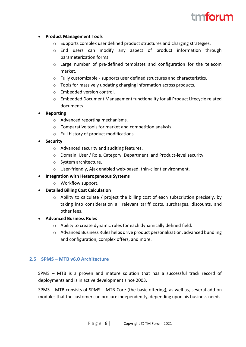### tm**forı m**

#### • **Product Management Tools**

- $\circ$  Supports complex user defined product structures and charging strategies.
- o End users can modify any aspect of product information through parameterization forms.
- o Large number of pre-defined templates and configuration for the telecom market.
- o Fully customizable supports user defined structures and characteristics.
- o Tools for massively updating charging information across products.
- o Embedded version control.
- o Embedded Document Management functionality for all Product Lifecycle related documents.

#### • **Reporting**

- o Advanced reporting mechanisms.
- o Comparative tools for market and competition analysis.
- o Full history of product modifications.

#### • **Security**

- o Advanced security and auditing features.
- o Domain, User / Role, Category, Department, and Product-level security.
- o System architecture.
- o User-friendly, Ajax enabled web-based, thin-client environment.

#### • **Integration with Heterogeneous Systems**

- o Workflow support.
- **Detailed Billing Cost Calculation**
	- $\circ$  Ability to calculate / project the billing cost of each subscription precisely, by taking into consideration all relevant tariff costs, surcharges, discounts, and other fees.

#### • **Advanced Business Rules**

- o Ability to create dynamic rules for each dynamically defined field.
- $\circ$  Advanced Business Rules helps drive product personalization, advanced bundling and configuration, complex offers, and more.

#### <span id="page-8-0"></span>**2.5 SPMS – MTB v6.0 Architecture**

SPMS – MTB is a proven and mature solution that has a successful track record of deployments and is in active development since 2003.

SPMS – MTB consists of SPMS – MTB Core (the basic offering), as well as, several add-on modules that the customer can procure independently, depending upon his business needs.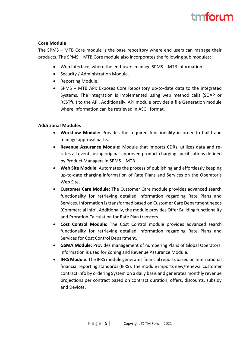#### **Core Module**

The SPMS – MTB Core module is the base repository where end users can manage their products. The SPMS – MTB Core module also incorporates the following sub modules:

- Web Interface, where the end-users manage SPMS MTB information.
- Security / Administration Module.
- Reporting Module.
- SPMS MTB API: Exposes Core Repository up-to-date data to the integrated Systems. The integration is implemented using web method calls (SOAP or RESTful) to the API. Additionally, API module provides a file Generation module where information can be retrieved in ASCII format.

#### **Additional Modules**

- **Workflow Module:** Provides the required functionality in order to build and manage approval paths.
- **Revenue Assurance Module:** Module that imports CDRs, utilizes data and rerates all events using original-approved product charging specifications defined by Product Managers in SPMS – MTB.
- **Web Site Module:** Automates the process of publishing and effortlessly keeping up-to-date charging information of Rate Plans and Services on the Operator's Web Site.
- **Customer Care Module:** The Customer Care module provides advanced search functionality for retrieving detailed information regarding Rate Plans and Services. Information is transformed based on Customer Care Department needs (Commercial Info). Additionally, the module provides Offer Building functionality and Proration Calculation for Rate Plan transfers.
- **Cost Control Module:** The Cost Control module provides advanced search functionality for retrieving detailed information regarding Rate Plans and Services for Cost Control Department.
- **GSMA Module:** Provides management of numbering Plans of Global Operators. Information is used for Zoning and Revenue Assurance Module.
- **IFRS Module:** The IFRS module generates financial reports based on International financial reporting standards (IFRS). The module imports new/renewal customer contract info by ordering System on a daily basis and generates monthly revenue projections per contract based on contract duration, offers, discounts, subsidy and Devices.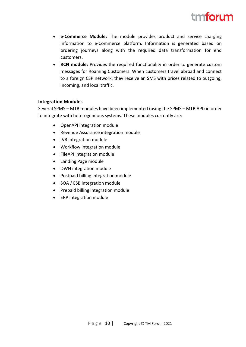

- **e-Commerce Module:** The module provides product and service charging information to e-Commerce platform. Information is generated based on ordering journeys along with the required data transformation for end customers.
- **RCN module:** Provides the required functionality in order to generate custom messages for Roaming Customers. When customers travel abroad and connect to a foreign CSP network, they receive an SMS with prices related to outgoing, incoming, and local traffic.

#### **Integration Modules**

Several SPMS – MTB modules have been implemented (using the SPMS – MTB API) in order to integrate with heterogeneous systems. These modules currently are:

- OpenAPI integration module
- Revenue Assurance integration module
- IVR integration module
- Workflow integration module
- FileAPI integration module
- Landing Page module
- DWH integration module
- Postpaid billing integration module
- SOA / ESB integration module
- Prepaid billing integration module
- ERP integration module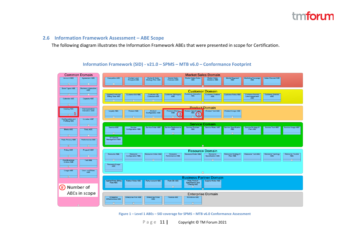#### **2.6 Information Framework Assessment – ABE Scope**

The following diagram illustrates the Information Framework ABEs that were presented in scope for Certification.

#### <span id="page-11-0"></span>**Common Domain Market Sales Domain Account ARE** ent ARF Market & Sales<br>Strategy Plan ABE Marketing Campaig Sales Channel ARE Acres Contact Lead<br>Prospect ABE Market Sales<br>Forecast ABE Market Sales Ro Market Sales<br>Statistics ABE larket Segm<br>ABE **Customer Domain Customer Rill Ing** er Int<br>ABE Customer Bill ARE **Applied Customer**<br>Billing Rate ABE mer Prob<br>ABE or Roles ABS **Son ARE** ARE Level Agre ARE Capacity ABE Calendar Aftill **Product Domain** ilag A Communication<br>Interaction ABE Product Test ARE Loyalty AP uct Specifi ABE З  $\mathbf T$ Configuration and<br>Profiling ABE **Location ARE Service Domain** Service Roles ABE Service AR Service<br>Configuration ABE Service Order ARS Service Perfor Service Problem<br>ABE Service Specification<br>ABE Service Strategy &<br>Plan ABE Service Test ABE Service Usage ABE Metric ABE Party ABE TIP Service<br>Management ABE Party Privacy ABE Performance ABE Policy ABE Project2 ABE **Resource Domain** Resource ABE source Roles ABE Resource Test ABE Resource Order ABE Resource<br>pecification ABE esource Strategy &<br>Plan ABE Resource<br>Configuration ABE Resource<br>Performance ABE Resource Topology Resource Trouble<br>ABE  $\overline{+}$ **Root Busines**<br>Entities ABE **Test ABE** Resource Usage Users and Roles<br>ABE **Usage ABE Business Partner Domain** Applied Party Billing<br>Rate ABE Partner Roles ARE **Party Account ABE Party Bill ARE** Party Product<br>Specification and<br>Offering ABE Supplier Roles ABE (#) Number of ABEs in scope **Enterprise Domain** Enterprise<br>Effectiveness ABE Enterprise Risk ABE Enterprise Roles Finance ABE Workforce ABS

**Information Framework (SID) - v21.0 – SPMS – MTB v6.0 – Conformance Footprint**

<span id="page-11-1"></span>**Figure 1 – Level 1 ABEs – SID coverage for SPMS – MTB v6.0 Conformance Assessment**

P a g e 11 **|** Copyright © TM Forum 2021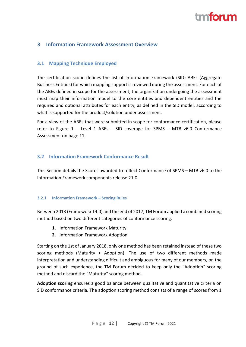## tm**tori m**

#### <span id="page-12-0"></span>**3 Information Framework Assessment Overview**

#### <span id="page-12-1"></span>**3.1 Mapping Technique Employed**

The certification scope defines the list of Information Framework (SID) ABEs (Aggregate Business Entities) for which mapping support is reviewed during the assessment. For each of the ABEs defined in scope for the assessment, the organization undergoing the assessment must map their information model to the core entities and dependent entities and the required and optional attributes for each entity, as defined in the SID model, according to what is supported for the product/solution under assessment.

For a view of the ABEs that were submitted in scope for conformance certification, please refer to Figure 1 – Level 1 ABEs – SID coverage for SPMS – MTB v6.0 [Conformance](#page-11-1) [Assessment](#page-11-1) on page [11.](#page-11-0)

#### <span id="page-12-2"></span>**3.2 Information Framework Conformance Result**

This Section details the Scores awarded to reflect Conformance of SPMS – MTB v6.0 to the Information Framework components release 21.0.

#### <span id="page-12-3"></span>**3.2.1 Information Framework – Scoring Rules**

Between 2013 (Frameworx 14.0) and the end of 2017, TM Forum applied a combined scoring method based on two different categories of conformance scoring:

- **1.** Information Framework Maturity
- **2.** Information Framework Adoption

Starting on the 1st of January 2018, only one method has been retained instead of these two scoring methods (Maturity + Adoption). The use of two different methods made interpretation and understanding difficult and ambiguous for many of our members, on the ground of such experience, the TM Forum decided to keep only the "Adoption" scoring method and discard the "Maturity" scoring method.

**Adoption scoring** ensures a good balance between qualitative and quantitative criteria on SID conformance criteria. The adoption scoring method consists of a range of scores from 1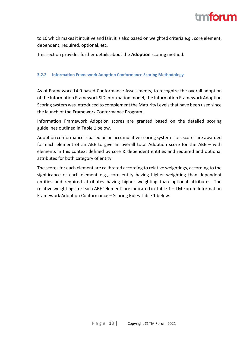

to 10 which makes it intuitive and fair, it is also based on weighted criteria e.g., core element, dependent, required, optional, etc.

This section provides further details about the **Adoption** scoring method.

#### <span id="page-13-0"></span>**3.2.2 Information Framework Adoption Conformance Scoring Methodology**

As of Frameworx 14.0 based Conformance Assessments, to recognize the overall adoption of the Information Framework SID Information model, the Information Framework Adoption Scoring system was introduced to complement the Maturity Levels that have been used since the launch of the Frameworx Conformance Program.

Information Framework Adoption scores are granted based on the detailed scoring guidelines outlined in [Table 1](#page-14-1) below.

Adoption conformance is based on an accumulative scoring system - i.e., scores are awarded for each element of an ABE to give an overall total Adoption score for the ABE – with elements in this context defined by core & dependent entities and required and optional attributes for both category of entity.

The scores for each element are calibrated according to relative weightings, according to the significance of each element e.g., core entity having higher weighting than dependent entities and required attributes having higher weighting than optional attributes. The relative weightings for each ABE 'element' are indicated in Table 1 – TM [Forum Information](#page-14-1)  [Framework Adoption Conformance](#page-14-1) – Scoring Rules [Table 1](#page-14-1) below.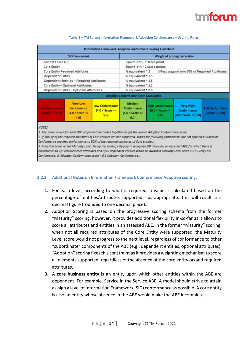<span id="page-14-1"></span>

| <b>SID Component</b>                                  |                                                                  |                                                            | <b>Weighted Scoring Calculation</b>                                       |                                                      |                                                         |                                             |  |
|-------------------------------------------------------|------------------------------------------------------------------|------------------------------------------------------------|---------------------------------------------------------------------------|------------------------------------------------------|---------------------------------------------------------|---------------------------------------------|--|
|                                                       | Lowest Level ABE                                                 |                                                            |                                                                           | Equivalent - 1 score point                           |                                                         |                                             |  |
| Core Entity                                           |                                                                  |                                                            |                                                                           | Equivalent - 2 score points                          |                                                         |                                             |  |
| Core Entity Required Attribute                        |                                                                  |                                                            | % equivalent * 2<br>[Must support min 50% of Required Attributes]         |                                                      |                                                         |                                             |  |
| Dependent Entity                                      |                                                                  |                                                            | % equivalent * 1.5                                                        |                                                      |                                                         |                                             |  |
| Dependent Entities - Required Attributes              |                                                                  |                                                            | % equivalent * 1.5                                                        |                                                      |                                                         |                                             |  |
| Core Entity - Optional Attributes                     |                                                                  |                                                            | % equivalent * 1.2                                                        |                                                      |                                                         |                                             |  |
| Dependent Entity - Optional Attributes                |                                                                  |                                                            | % equivalent * 0.8                                                        |                                                      |                                                         |                                             |  |
|                                                       |                                                                  |                                                            | <b>Adoption Conformance Score Graduation</b>                              |                                                      |                                                         |                                             |  |
| <b>Joseph and Thread Print</b><br>$Section = 1.00$ 31 | <b>Very Low</b><br>Conformance<br>$[3.0 <$ Score $\leq$ =<br>4.0 | <b>Low Conformance</b><br>$[4.0 <$ Score $\leq$<br>$5.0$ ] | <b>Medium</b><br><b>Conformance</b><br>$[5.0 <$ Score $\leq n$<br>$6.0$ ] | <b>High Conformance</b><br>[6.0 < Score <<br>$8.0$ ] | <b>Very High</b><br>Conformance<br>[8.0 < Score < 10.0] | <b>Full Conformance</b><br>$[Score = 10.0]$ |  |

#### **Table 1 – TM Forum Information Framework Adoption Conformance – Scoring Rules**

1. The score values for each SID component are added together to get the overall Adoption Conformance score.

2. If 50% of of the required attributes of Core entities are not supported, scores for following components are not applied as Adoption Conformance requires conformance to 50% of the required attributes of Core entities.

3. Adoption Score versus Maturity Level: Using the scoring category to recognise SID adoption, an assessed ABE for which there is equivalence to 2/3 required core attributes and 8/10 dependent entities would be awarded Maturity Level Score = 2.5 (Very Low Confomance) & Adoption Conformance score = 5.2 (Medium Conformance).

#### <span id="page-14-0"></span>**3.2.3 Additional Notes on Information Framework Conformance Adoption scoring:**

- **1.** For each level, according to what is required, a value is calculated based on the percentage of entities/attributes supported - as appropriate. This will result in a decimal figure (rounded to one decimal place).
- **2.** Adoption Scoring is based on the progressive scoring schema from the former "Maturity" scoring; however, it provides additional flexibility in-so-far as it allows to score all attributes and entities in an assessed ABE. In the former "Maturity" scoring, when not all required attributes of the Core Entity were supported, the Maturity Level score would not progress to the next level, regardless of conformance to other "subordinate" components of the ABE (e.g., dependent entities, optional attributes). "Adoption" scoring fixes this constraint as it provides a weighting mechanism to score all elements supported, regardless of the absence of the core entity or/and required attributes.
- **3.** A **core business entity** is an entity upon which other entities within the ABE are dependent. For example, Service in the Service ABE. A model should strive to attain as high a level of Information Framework (SID) conformance as possible. A core entity is also an entity whose absence in the ABE would make the ABE incomplete.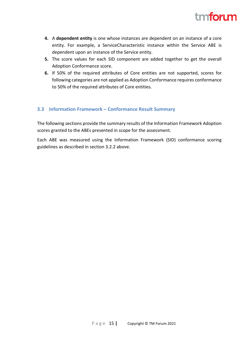

- **4.** A **dependent entity** is one whose instances are dependent on an instance of a core entity. For example, a ServiceCharacteristic instance within the Service ABE is dependent upon an instance of the Service entity.
- **5.** The score values for each SID component are added together to get the overall Adoption Conformance score.
- **6.** If 50% of the required attributes of Core entities are not supported, scores for following categories are not applied as Adoption Conformance requires conformance to 50% of the required attributes of Core entities.

#### <span id="page-15-0"></span>**3.3 Information Framework – Conformance Result Summary**

The following sections provide the summary results of the Information Framework Adoption scores granted to the ABEs presented in scope for the assessment.

Each ABE was measured using the Information Framework (SID) conformance scoring guidelines as described in section [3.2.2 above.](#page-13-0)